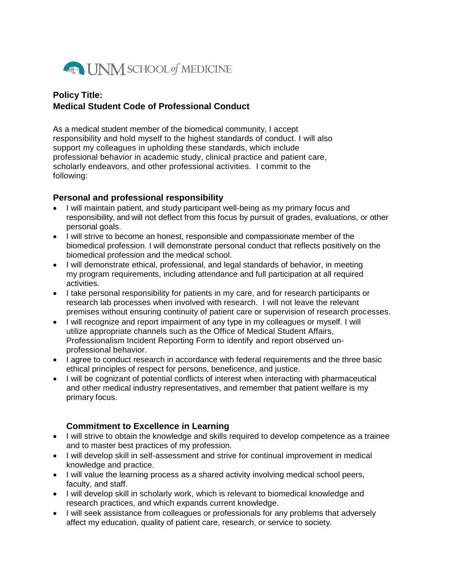

## **Policy Title: Medical Student Code of Professional Conduct**

As a medical student member of the biomedical community, I accept responsibility and hold myself to the highest standards of conduct. I will also support my colleagues in upholding these standards, which include professional behavior in academic study, clinical practice and patient care, scholarly endeavors, and other professional activities. I commit to the following:

### **Personal and professional responsibility**

- I will maintain patient, and study participant well-being as my primary focus and responsibility, and will not deflect from this focus by pursuit of grades, evaluations, or other personal goals.
- I will strive to become an honest, responsible and compassionate member of the biomedical profession. I will demonstrate personal conduct that reflects positively on the biomedical profession and the medical school.
- I will demonstrate ethical, professional, and legal standards of behavior, in meeting my program requirements, including attendance and full participation at all required activities.
- I take personal responsibility for patients in my care, and for research participants or research lab processes when involved with research. I will not leave the relevant premises without ensuring continuity of patient care or supervision of research processes.
- I will recognize and report impairment of any type in my colleagues or myself. I will utilize appropriate channels such as the Office of Medical Student Affairs, Professionalism Incident Reporting Form to identify and report observed unprofessional behavior.
- I agree to conduct research in accordance with federal requirements and the three basic ethical principles of respect for persons, beneficence, and justice.
- I will be cognizant of potential conflicts of interest when interacting with pharmaceutical and other medical industry representatives, and remember that patient welfare is my primary focus.

### **Commitment to Excellence in Learning**

- I will strive to obtain the knowledge and skills required to develop competence as a trainee and to master best practices of my profession.
- I will develop skill in self-assessment and strive for continual improvement in medical knowledge and practice.
- I will value the learning process as a shared activity involving medical school peers, faculty, and staff.
- I will develop skill in scholarly work, which is relevant to biomedical knowledge and research practices, and which expands current knowledge.
- I will seek assistance from colleagues or professionals for any problems that adversely affect my education, quality of patient care, research, or service to society.